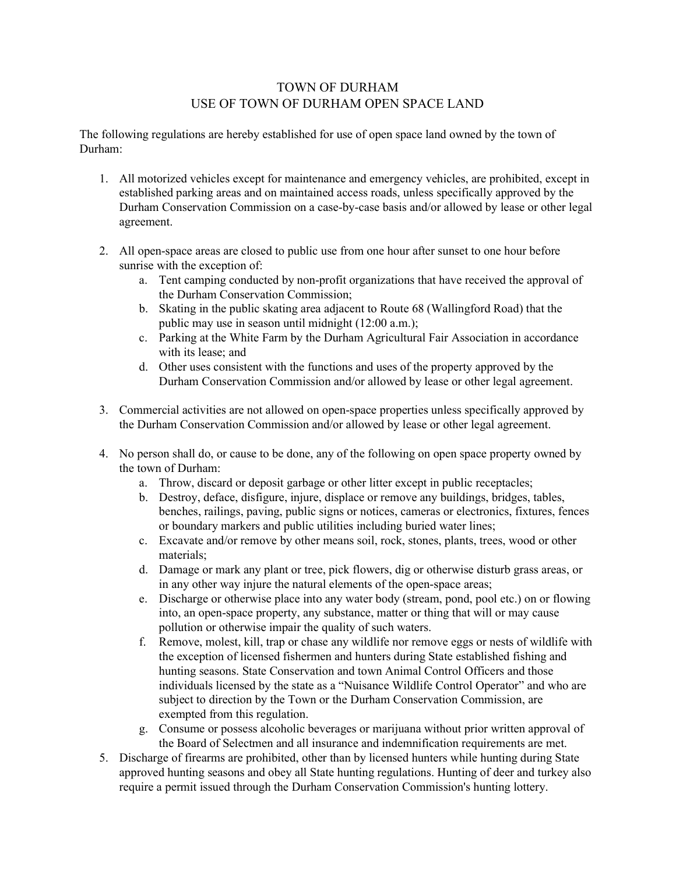## TOWN OF DURHAM USE OF TOWN OF DURHAM OPEN SPACE LAND

The following regulations are hereby established for use of open space land owned by the town of Durham:

- 1. All motorized vehicles except for maintenance and emergency vehicles, are prohibited, except in established parking areas and on maintained access roads, unless specifically approved by the Durham Conservation Commission on a case-by-case basis and/or allowed by lease or other legal agreement.
- 2. All open-space areas are closed to public use from one hour after sunset to one hour before sunrise with the exception of:
	- a. Tent camping conducted by non-profit organizations that have received the approval of the Durham Conservation Commission;
	- b. Skating in the public skating area adjacent to Route 68 (Wallingford Road) that the public may use in season until midnight (12:00 a.m.);
	- c. Parking at the White Farm by the Durham Agricultural Fair Association in accordance with its lease; and
	- d. Other uses consistent with the functions and uses of the property approved by the Durham Conservation Commission and/or allowed by lease or other legal agreement.
- 3. Commercial activities are not allowed on open-space properties unless specifically approved by the Durham Conservation Commission and/or allowed by lease or other legal agreement.
- 4. No person shall do, or cause to be done, any of the following on open space property owned by the town of Durham:
	- a. Throw, discard or deposit garbage or other litter except in public receptacles;
	- b. Destroy, deface, disfigure, injure, displace or remove any buildings, bridges, tables, benches, railings, paving, public signs or notices, cameras or electronics, fixtures, fences or boundary markers and public utilities including buried water lines;
	- c. Excavate and/or remove by other means soil, rock, stones, plants, trees, wood or other materials;
	- d. Damage or mark any plant or tree, pick flowers, dig or otherwise disturb grass areas, or in any other way injure the natural elements of the open-space areas;
	- e. Discharge or otherwise place into any water body (stream, pond, pool etc.) on or flowing into, an open-space property, any substance, matter or thing that will or may cause pollution or otherwise impair the quality of such waters.
	- f. Remove, molest, kill, trap or chase any wildlife nor remove eggs or nests of wildlife with the exception of licensed fishermen and hunters during State established fishing and hunting seasons. State Conservation and town Animal Control Officers and those individuals licensed by the state as a "Nuisance Wildlife Control Operator" and who are subject to direction by the Town or the Durham Conservation Commission, are exempted from this regulation.
	- g. Consume or possess alcoholic beverages or marijuana without prior written approval of the Board of Selectmen and all insurance and indemnification requirements are met.
- 5. Discharge of firearms are prohibited, other than by licensed hunters while hunting during State approved hunting seasons and obey all State hunting regulations. Hunting of deer and turkey also require a permit issued through the Durham Conservation Commission's hunting lottery.